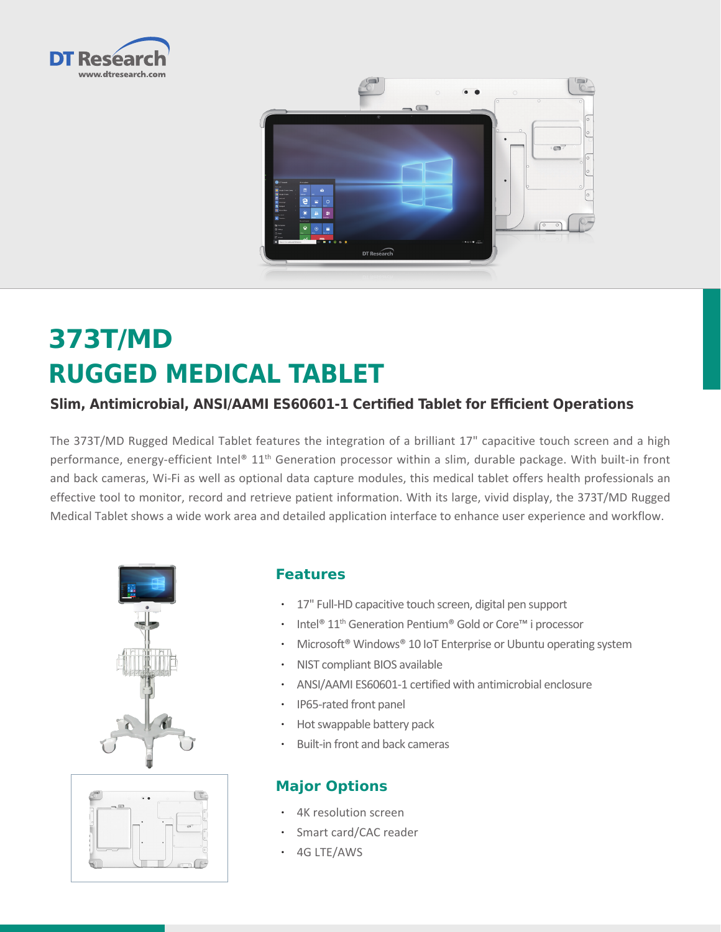



# **373T/MD RUGGED MEDICAL TABLET**

## **Slim, Antimicrobial, ANSI/AAMI ES60601-1 Certified Tablet for Efficient Operations**

The 373T/MD Rugged Medical Tablet features the integration of a brilliant 17" capacitive touch screen and a high performance, energy-efficient Intel® 11<sup>th</sup> Generation processor within a slim, durable package. With built-in front and back cameras, Wi-Fi as well as optional data capture modules, this medical tablet offers health professionals an effective tool to monitor, record and retrieve patient information. With its large, vivid display, the 373T/MD Rugged Medical Tablet shows a wide work area and detailed application interface to enhance user experience and workflow.





### **Features**

- • 17" Full-HD capacitive touch screen, digital pen support
- Intel<sup>®</sup> 11<sup>th</sup> Generation Pentium<sup>®</sup> Gold or Core™ i processor
- Microsoft<sup>®</sup> Windows<sup>®</sup> 10 IoT Enterprise or Ubuntu operating system
- • NIST compliant BIOS available
- • ANSI/AAMI ES60601-1 certified with antimicrobial enclosure
- • IP65-rated front panel
- Hot swappable battery pack
- • Built-in front and back cameras

## **Major Options**

- • 4K resolution screen
- Smart card/CAC reader
- • 4G LTE/AWS